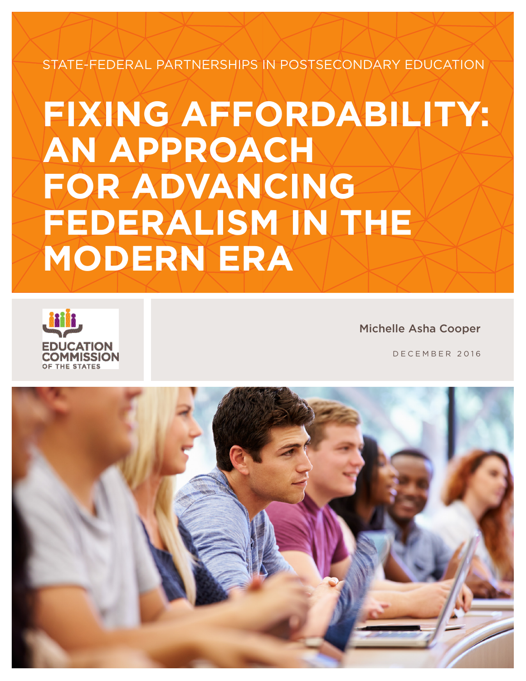STATE-FEDERAL PARTNERSHIPS IN POSTSECONDARY EDUCATION

# **FIXING AFFORDABILITY: AN APPROACH FOR ADVANCING FEDERALISM IN THE MODERN ERA**



Michelle Asha Cooper

DECEMBER 2016

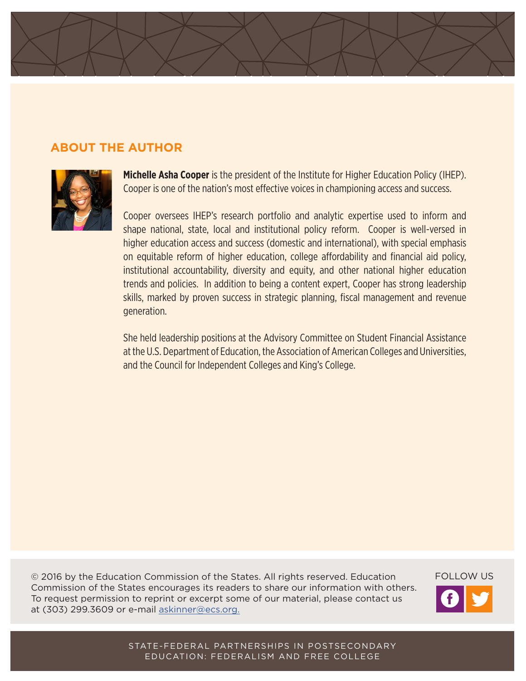

### **ABOUT THE AUTHOR**



**Michelle Asha Cooper** is the president of the Institute for Higher Education Policy (IHEP). Cooper is one of the nation's most effective voices in championing access and success.

Cooper oversees IHEP's research portfolio and analytic expertise used to inform and shape national, state, local and institutional policy reform. Cooper is well-versed in higher education access and success (domestic and international), with special emphasis on equitable reform of higher education, college affordability and financial aid policy, institutional accountability, diversity and equity, and other national higher education trends and policies. In addition to being a content expert, Cooper has strong leadership skills, marked by proven success in strategic planning, fiscal management and revenue generation.

She held leadership positions at the Advisory Committee on Student Financial Assistance at the U.S. Department of Education, the Association of American Colleges and Universities, and the Council for Independent Colleges and King's College.

© 2016 by the Education Commission of the States. All rights reserved. Education Commission of the States encourages its readers to share our information with others. To request permission to reprint or excerpt some of our material, please contact us at (303) 299.3609 or e-mail askinner@ecs.org.

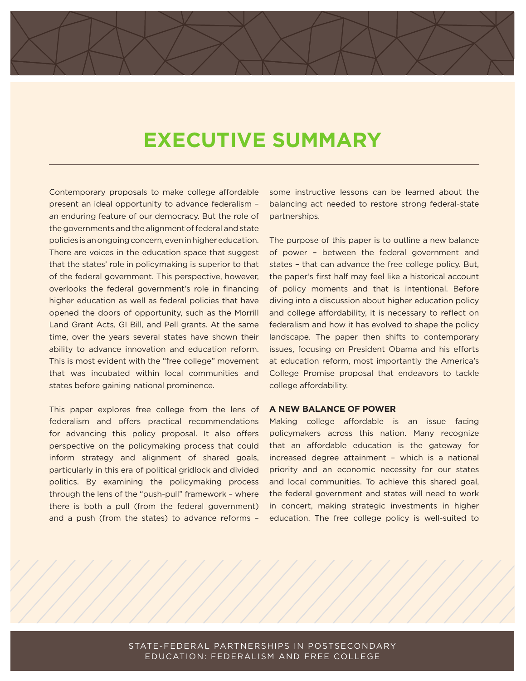## **EXECUTIVE SUMMARY**

Contemporary proposals to make college affordable present an ideal opportunity to advance federalism – an enduring feature of our democracy. But the role of the governments and the alignment of federal and state policies is an ongoing concern, even in higher education. There are voices in the education space that suggest that the states' role in policymaking is superior to that of the federal government. This perspective, however, overlooks the federal government's role in financing higher education as well as federal policies that have opened the doors of opportunity, such as the Morrill Land Grant Acts, GI Bill, and Pell grants. At the same time, over the years several states have shown their ability to advance innovation and education reform. This is most evident with the "free college" movement that was incubated within local communities and states before gaining national prominence.

This paper explores free college from the lens of federalism and offers practical recommendations for advancing this policy proposal. It also offers perspective on the policymaking process that could inform strategy and alignment of shared goals, particularly in this era of political gridlock and divided politics. By examining the policymaking process through the lens of the "push-pull" framework – where there is both a pull (from the federal government) and a push (from the states) to advance reforms –

some instructive lessons can be learned about the balancing act needed to restore strong federal-state partnerships.

The purpose of this paper is to outline a new balance of power – between the federal government and states – that can advance the free college policy. But, the paper's first half may feel like a historical account of policy moments and that is intentional. Before diving into a discussion about higher education policy and college affordability, it is necessary to reflect on federalism and how it has evolved to shape the policy landscape. The paper then shifts to contemporary issues, focusing on President Obama and his efforts at education reform, most importantly the America's College Promise proposal that endeavors to tackle college affordability.

#### **A NEW BALANCE OF POWER**

Making college affordable is an issue facing policymakers across this nation. Many recognize that an affordable education is the gateway for increased degree attainment – which is a national priority and an economic necessity for our states and local communities. To achieve this shared goal, the federal government and states will need to work in concert, making strategic investments in higher education. The free college policy is well-suited to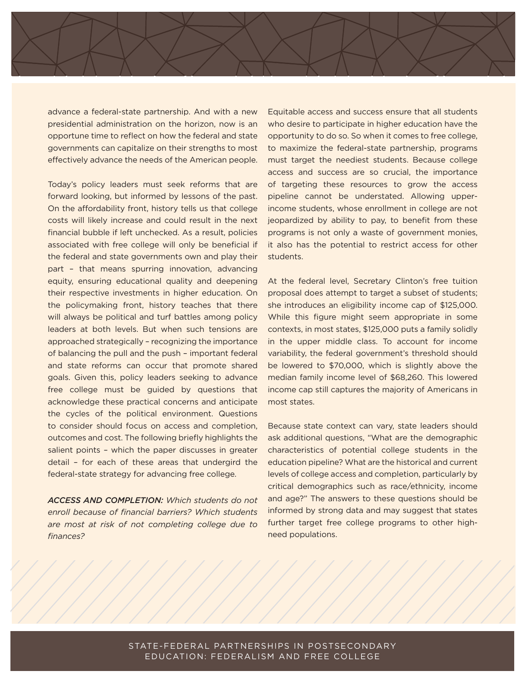advance a federal-state partnership. And with a new presidential administration on the horizon, now is an opportune time to reflect on how the federal and state governments can capitalize on their strengths to most effectively advance the needs of the American people.

Today's policy leaders must seek reforms that are forward looking, but informed by lessons of the past. On the affordability front, history tells us that college costs will likely increase and could result in the next financial bubble if left unchecked. As a result, policies associated with free college will only be beneficial if the federal and state governments own and play their part – that means spurring innovation, advancing equity, ensuring educational quality and deepening their respective investments in higher education. On the policymaking front, history teaches that there will always be political and turf battles among policy leaders at both levels. But when such tensions are approached strategically – recognizing the importance of balancing the pull and the push – important federal and state reforms can occur that promote shared goals. Given this, policy leaders seeking to advance free college must be guided by questions that acknowledge these practical concerns and anticipate the cycles of the political environment. Questions to consider should focus on access and completion, outcomes and cost. The following briefly highlights the salient points – which the paper discusses in greater detail – for each of these areas that undergird the federal-state strategy for advancing free college.

*ACCESS AND COMPLETION: Which students do not enroll because of financial barriers? Which students are most at risk of not completing college due to finances?*

Equitable access and success ensure that all students who desire to participate in higher education have the opportunity to do so. So when it comes to free college, to maximize the federal-state partnership, programs must target the neediest students. Because college access and success are so crucial, the importance of targeting these resources to grow the access pipeline cannot be understated. Allowing upperincome students, whose enrollment in college are not jeopardized by ability to pay, to benefit from these programs is not only a waste of government monies, it also has the potential to restrict access for other students.

At the federal level, Secretary Clinton's free tuition proposal does attempt to target a subset of students; she introduces an eligibility income cap of \$125,000. While this figure might seem appropriate in some contexts, in most states, \$125,000 puts a family solidly in the upper middle class. To account for income variability, the federal government's threshold should be lowered to \$70,000, which is slightly above the median family income level of \$68,260. This lowered income cap still captures the majority of Americans in most states.

Because state context can vary, state leaders should ask additional questions, "What are the demographic characteristics of potential college students in the education pipeline? What are the historical and current levels of college access and completion, particularly by critical demographics such as race/ethnicity, income and age?" The answers to these questions should be informed by strong data and may suggest that states further target free college programs to other highneed populations.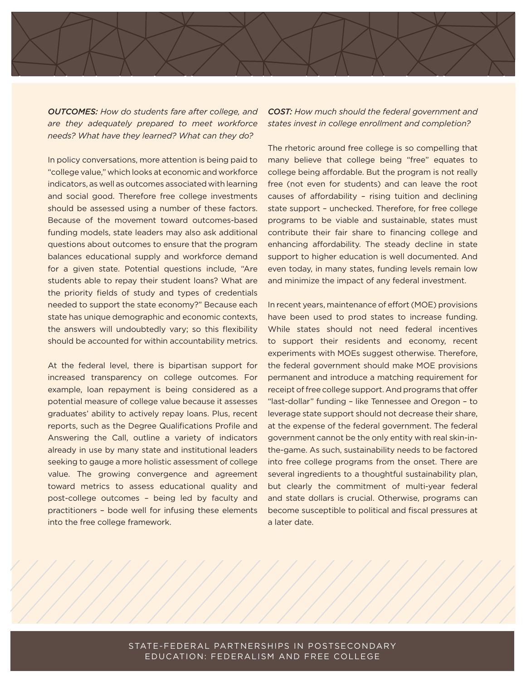*OUTCOMES: How do students fare after college, and are they adequately prepared to meet workforce needs? What have they learned? What can they do?*

In policy conversations, more attention is being paid to "college value," which looks at economic and workforce indicators, as well as outcomes associated with learning and social good. Therefore free college investments should be assessed using a number of these factors. Because of the movement toward outcomes-based funding models, state leaders may also ask additional questions about outcomes to ensure that the program balances educational supply and workforce demand for a given state. Potential questions include, "Are students able to repay their student loans? What are the priority fields of study and types of credentials needed to support the state economy?" Because each state has unique demographic and economic contexts, the answers will undoubtedly vary; so this flexibility should be accounted for within accountability metrics.

At the federal level, there is bipartisan support for increased transparency on college outcomes. For example, loan repayment is being considered as a potential measure of college value because it assesses graduates' ability to actively repay loans. Plus, recent reports, such as the Degree Qualifications Profile and Answering the Call, outline a variety of indicators already in use by many state and institutional leaders seeking to gauge a more holistic assessment of college value. The growing convergence and agreement toward metrics to assess educational quality and post-college outcomes – being led by faculty and practitioners – bode well for infusing these elements into the free college framework.

*COST: How much should the federal government and states invest in college enrollment and completion?*

The rhetoric around free college is so compelling that many believe that college being "free" equates to college being affordable. But the program is not really free (not even for students) and can leave the root causes of affordability – rising tuition and declining state support – unchecked. Therefore, for free college programs to be viable and sustainable, states must contribute their fair share to financing college and enhancing affordability. The steady decline in state support to higher education is well documented. And even today, in many states, funding levels remain low and minimize the impact of any federal investment.

In recent years, maintenance of effort (MOE) provisions have been used to prod states to increase funding. While states should not need federal incentives to support their residents and economy, recent experiments with MOEs suggest otherwise. Therefore, the federal government should make MOE provisions permanent and introduce a matching requirement for receipt of free college support. And programs that offer "last-dollar" funding – like Tennessee and Oregon – to leverage state support should not decrease their share, at the expense of the federal government. The federal government cannot be the only entity with real skin-inthe-game. As such, sustainability needs to be factored into free college programs from the onset. There are several ingredients to a thoughtful sustainability plan, but clearly the commitment of multi-year federal and state dollars is crucial. Otherwise, programs can become susceptible to political and fiscal pressures at a later date.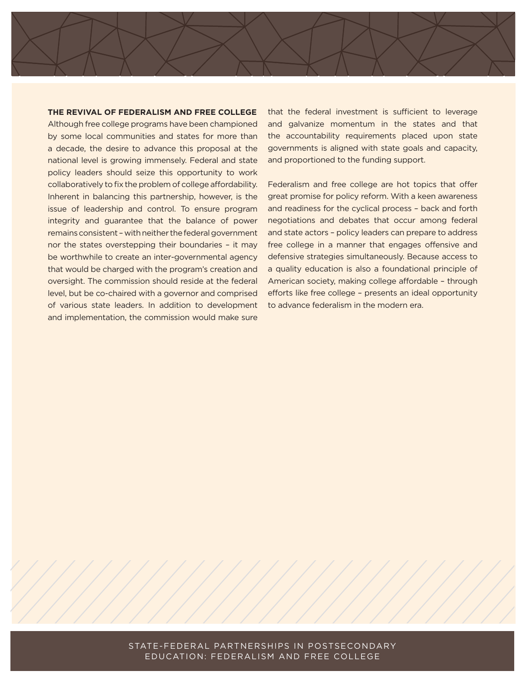**THE REVIVAL OF FEDERALISM AND FREE COLLEGE**

Although free college programs have been championed by some local communities and states for more than a decade, the desire to advance this proposal at the national level is growing immensely. Federal and state policy leaders should seize this opportunity to work collaboratively to fix the problem of college affordability. Inherent in balancing this partnership, however, is the issue of leadership and control. To ensure program integrity and guarantee that the balance of power remains consistent – with neither the federal government nor the states overstepping their boundaries – it may be worthwhile to create an inter-governmental agency that would be charged with the program's creation and oversight. The commission should reside at the federal level, but be co-chaired with a governor and comprised of various state leaders. In addition to development and implementation, the commission would make sure

that the federal investment is sufficient to leverage and galvanize momentum in the states and that the accountability requirements placed upon state governments is aligned with state goals and capacity, and proportioned to the funding support.

Federalism and free college are hot topics that offer great promise for policy reform. With a keen awareness and readiness for the cyclical process – back and forth negotiations and debates that occur among federal and state actors – policy leaders can prepare to address free college in a manner that engages offensive and defensive strategies simultaneously. Because access to a quality education is also a foundational principle of American society, making college affordable – through efforts like free college – presents an ideal opportunity to advance federalism in the modern era.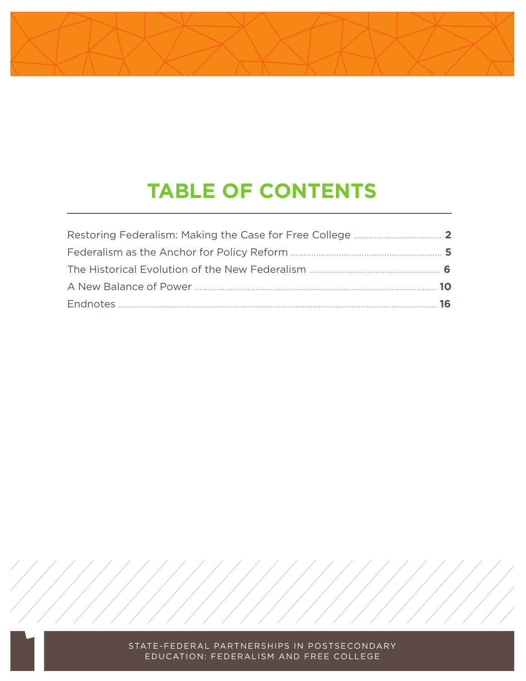## **TABLE OF CONTENTS**

| 10 |
|----|
| 16 |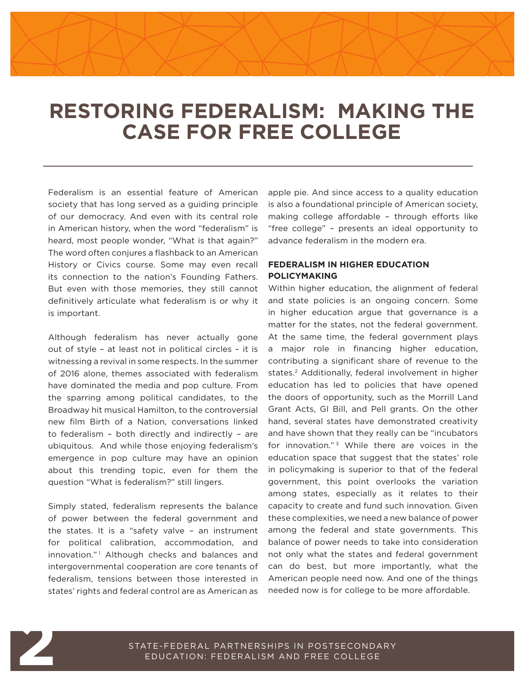### **RESTORING FEDERALISM: MAKING THE CASE FOR FREE COLLEGE**

Federalism is an essential feature of American society that has long served as a guiding principle of our democracy. And even with its central role in American history, when the word "federalism" is heard, most people wonder, "What is that again?" The word often conjures a flashback to an American History or Civics course. Some may even recall its connection to the nation's Founding Fathers. But even with those memories, they still cannot definitively articulate what federalism is or why it is important.

Although federalism has never actually gone out of style – at least not in political circles – it is witnessing a revival in some respects. In the summer of 2016 alone, themes associated with federalism have dominated the media and pop culture. From the sparring among political candidates, to the Broadway hit musical Hamilton, to the controversial new film Birth of a Nation, conversations linked to federalism – both directly and indirectly – are ubiquitous. And while those enjoying federalism's emergence in pop culture may have an opinion about this trending topic, even for them the question "What is federalism?" still lingers.

Simply stated, federalism represents the balance of power between the federal government and the states. It is a "safety valve – an instrument for political calibration, accommodation, and innovation."<sup>1</sup> Although checks and balances and intergovernmental cooperation are core tenants of federalism, tensions between those interested in states' rights and federal control are as American as

apple pie. And since access to a quality education is also a foundational principle of American society, making college affordable – through efforts like "free college" – presents an ideal opportunity to advance federalism in the modern era.

#### **FEDERALISM IN HIGHER EDUCATION POLICYMAKING**

Within higher education, the alignment of federal and state policies is an ongoing concern. Some in higher education argue that governance is a matter for the states, not the federal government. At the same time, the federal government plays a major role in financing higher education, contributing a significant share of revenue to the states.<sup>2</sup> Additionally, federal involvement in higher education has led to policies that have opened the doors of opportunity, such as the Morrill Land Grant Acts, GI Bill, and Pell grants. On the other hand, several states have demonstrated creativity and have shown that they really can be "incubators for innovation."<sup>3</sup> While there are voices in the education space that suggest that the states' role in policymaking is superior to that of the federal government, this point overlooks the variation among states, especially as it relates to their capacity to create and fund such innovation. Given these complexities, we need a new balance of power among the federal and state governments. This balance of power needs to take into consideration not only what the states and federal government can do best, but more importantly, what the American people need now. And one of the things needed now is for college to be more affordable.



**2**<br>**2** STATE-FEDERAL PARTNERSHIPS IN POSTSECONDARY<br>EDUCATION: FEDERALISM AND FREE COLLEGE EDUCATION: FEDERALISM AND FREE COLLEGE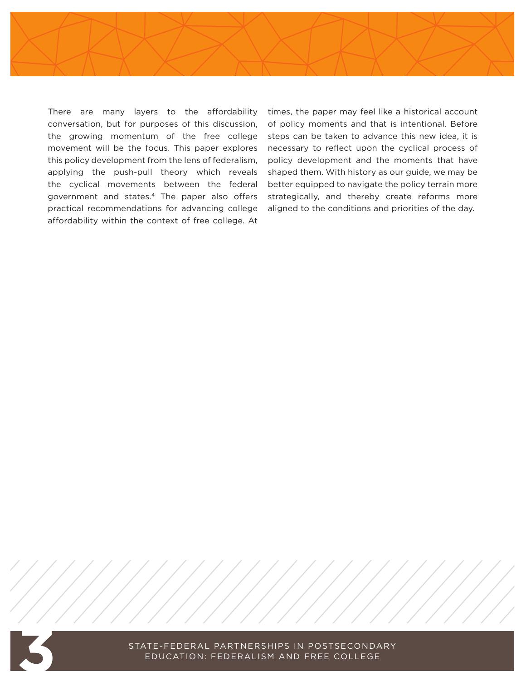

There are many layers to the affordability conversation, but for purposes of this discussion, the growing momentum of the free college movement will be the focus. This paper explores this policy development from the lens of federalism, applying the push-pull theory which reveals the cyclical movements between the federal government and states.4 The paper also offers practical recommendations for advancing college affordability within the context of free college. At

times, the paper may feel like a historical account of policy moments and that is intentional. Before steps can be taken to advance this new idea, it is necessary to reflect upon the cyclical process of policy development and the moments that have shaped them. With history as our guide, we may be better equipped to navigate the policy terrain more strategically, and thereby create reforms more aligned to the conditions and priorities of the day.



STATE-FEDERAL PARTNERSHIPS IN POSTSECONDARY<br>EDUCATION: FEDERALISM AND FREE COLLEGE EDUCATION: FEDERALISM AND FREE COLLEGE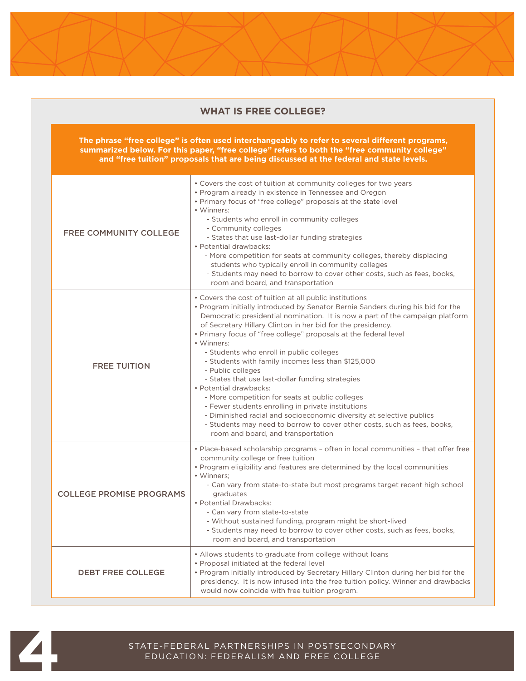| The phrase "free college" is often used interchangeably to refer to several different programs,<br>summarized below. For this paper, "free college" refers to both the "free community college"<br>and "free tuition" proposals that are being discussed at the federal and state levels. |                                                                                                                                                                                                                                                                                                                                                                                                                                                                                                                                                                                                                                                                                                                                                                                                                                                                                      |  |
|-------------------------------------------------------------------------------------------------------------------------------------------------------------------------------------------------------------------------------------------------------------------------------------------|--------------------------------------------------------------------------------------------------------------------------------------------------------------------------------------------------------------------------------------------------------------------------------------------------------------------------------------------------------------------------------------------------------------------------------------------------------------------------------------------------------------------------------------------------------------------------------------------------------------------------------------------------------------------------------------------------------------------------------------------------------------------------------------------------------------------------------------------------------------------------------------|--|
| <b>FREE COMMUNITY COLLEGE</b>                                                                                                                                                                                                                                                             | • Covers the cost of tuition at community colleges for two years<br>• Program already in existence in Tennessee and Oregon<br>• Primary focus of "free college" proposals at the state level<br>• Winners:<br>- Students who enroll in community colleges<br>- Community colleges<br>- States that use last-dollar funding strategies<br>· Potential drawbacks:<br>- More competition for seats at community colleges, thereby displacing<br>students who typically enroll in community colleges<br>- Students may need to borrow to cover other costs, such as fees, books,<br>room and board, and transportation                                                                                                                                                                                                                                                                   |  |
| <b>FREE TUITION</b>                                                                                                                                                                                                                                                                       | • Covers the cost of tuition at all public institutions<br>• Program initially introduced by Senator Bernie Sanders during his bid for the<br>Democratic presidential nomination. It is now a part of the campaign platform<br>of Secretary Hillary Clinton in her bid for the presidency.<br>• Primary focus of "free college" proposals at the federal level<br>• Winners:<br>- Students who enroll in public colleges<br>- Students with family incomes less than \$125,000<br>- Public colleges<br>- States that use last-dollar funding strategies<br>• Potential drawbacks:<br>- More competition for seats at public colleges<br>- Fewer students enrolling in private institutions<br>- Diminished racial and socioeconomic diversity at selective publics<br>- Students may need to borrow to cover other costs, such as fees, books,<br>room and board, and transportation |  |
| <b>COLLEGE PROMISE PROGRAMS</b>                                                                                                                                                                                                                                                           | • Place-based scholarship programs - often in local communities - that offer free<br>community college or free tuition<br>• Program eligibility and features are determined by the local communities<br>• Winners;<br>- Can vary from state-to-state but most programs target recent high school<br>graduates<br>• Potential Drawbacks:<br>- Can vary from state-to-state<br>- Without sustained funding, program might be short-lived<br>- Students may need to borrow to cover other costs, such as fees, books,<br>room and board, and transportation                                                                                                                                                                                                                                                                                                                             |  |
| <b>DEBT FREE COLLEGE</b>                                                                                                                                                                                                                                                                  | • Allows students to graduate from college without loans<br>• Proposal initiated at the federal level<br>• Program initially introduced by Secretary Hillary Clinton during her bid for the<br>presidency. It is now infused into the free tuition policy. Winner and drawbacks<br>would now coincide with free tuition program.                                                                                                                                                                                                                                                                                                                                                                                                                                                                                                                                                     |  |

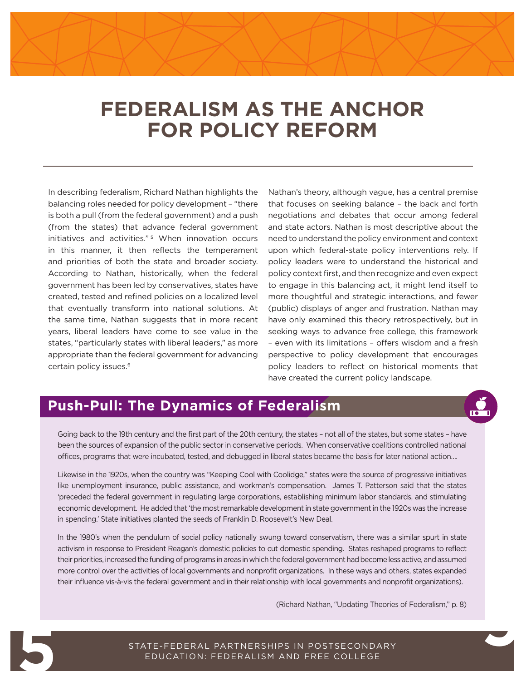## **FEDERALISM AS THE ANCHOR FOR POLICY REFORM**

In describing federalism, Richard Nathan highlights the balancing roles needed for policy development – "there is both a pull (from the federal government) and a push (from the states) that advance federal government initiatives and activities."<sup>5</sup> When innovation occurs in this manner, it then reflects the temperament and priorities of both the state and broader society. According to Nathan, historically, when the federal government has been led by conservatives, states have created, tested and refined policies on a localized level that eventually transform into national solutions. At the same time, Nathan suggests that in more recent years, liberal leaders have come to see value in the states, "particularly states with liberal leaders," as more appropriate than the federal government for advancing certain policy issues.6

Nathan's theory, although vague, has a central premise that focuses on seeking balance – the back and forth negotiations and debates that occur among federal and state actors. Nathan is most descriptive about the need to understand the policy environment and context upon which federal-state policy interventions rely. If policy leaders were to understand the historical and policy context first, and then recognize and even expect to engage in this balancing act, it might lend itself to more thoughtful and strategic interactions, and fewer (public) displays of anger and frustration. Nathan may have only examined this theory retrospectively, but in seeking ways to advance free college, this framework – even with its limitations – offers wisdom and a fresh perspective to policy development that encourages policy leaders to reflect on historical moments that have created the current policy landscape.

### **Push-Pull: The Dynamics of Federalism**

**9**

Going back to the 19th century and the first part of the 20th century, the states – not all of the states, but some states – have been the sources of expansion of the public sector in conservative periods. When conservative coalitions controlled national offices, programs that were incubated, tested, and debugged in liberal states became the basis for later national action….

Likewise in the 1920s, when the country was "Keeping Cool with Coolidge," states were the source of progressive initiatives like unemployment insurance, public assistance, and workman's compensation. James T. Patterson said that the states 'preceded the federal government in regulating large corporations, establishing minimum labor standards, and stimulating economic development. He added that 'the most remarkable development in state government in the 1920s was the increase in spending.' State initiatives planted the seeds of Franklin D. Roosevelt's New Deal.

In the 1980's when the pendulum of social policy nationally swung toward conservatism, there was a similar spurt in state activism in response to President Reagan's domestic policies to cut domestic spending. States reshaped programs to reflect their priorities, increased the funding of programs in areas in which the federal government had become less active, and assumed more control over the activities of local governments and nonprofit organizations. In these ways and others, states expanded their influence vis-à-vis the federal government and in their relationship with local governments and nonprofit organizations).

(Richard Nathan, "Updating Theories of Federalism," p. 8)

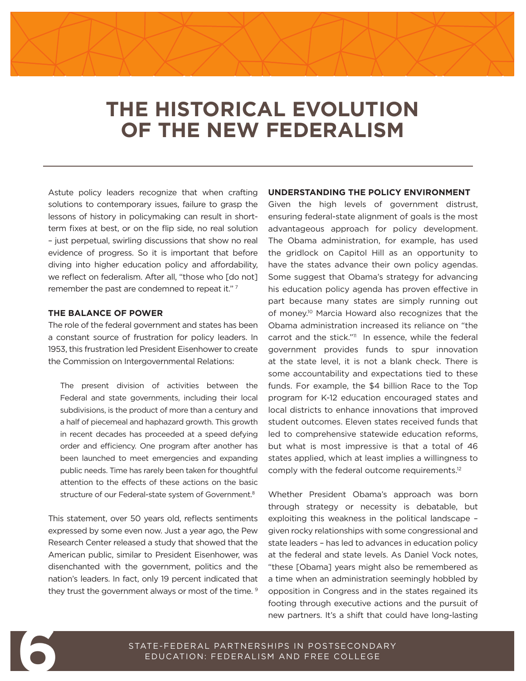## **THE HISTORICAL EVOLUTION OF THE NEW FEDERALISM**

Astute policy leaders recognize that when crafting solutions to contemporary issues, failure to grasp the lessons of history in policymaking can result in shortterm fixes at best, or on the flip side, no real solution – just perpetual, swirling discussions that show no real evidence of progress. So it is important that before diving into higher education policy and affordability, we reflect on federalism. After all, "those who [do not] remember the past are condemned to repeat it."<sup>7</sup>

#### **THE BALANCE OF POWER**

The role of the federal government and states has been a constant source of frustration for policy leaders. In 1953, this frustration led President Eisenhower to create the Commission on Intergovernmental Relations:

The present division of activities between the Federal and state governments, including their local subdivisions, is the product of more than a century and a half of piecemeal and haphazard growth. This growth in recent decades has proceeded at a speed defying order and efficiency. One program after another has been launched to meet emergencies and expanding public needs. Time has rarely been taken for thoughtful attention to the effects of these actions on the basic structure of our Federal-state system of Government.<sup>8</sup>

This statement, over 50 years old, reflects sentiments expressed by some even now. Just a year ago, the Pew Research Center released a study that showed that the American public, similar to President Eisenhower, was disenchanted with the government, politics and the nation's leaders. In fact, only 19 percent indicated that they trust the government always or most of the time.<sup>9</sup>

#### **UNDERSTANDING THE POLICY ENVIRONMENT**

Given the high levels of government distrust, ensuring federal-state alignment of goals is the most advantageous approach for policy development. The Obama administration, for example, has used the gridlock on Capitol Hill as an opportunity to have the states advance their own policy agendas. Some suggest that Obama's strategy for advancing his education policy agenda has proven effective in part because many states are simply running out of money.10 Marcia Howard also recognizes that the Obama administration increased its reliance on "the carrot and the stick."<sup>11</sup> In essence, while the federal government provides funds to spur innovation at the state level, it is not a blank check. There is some accountability and expectations tied to these funds. For example, the \$4 billion Race to the Top program for K-12 education encouraged states and local districts to enhance innovations that improved student outcomes. Eleven states received funds that led to comprehensive statewide education reforms, but what is most impressive is that a total of 46 states applied, which at least implies a willingness to comply with the federal outcome requirements.12

Whether President Obama's approach was born through strategy or necessity is debatable, but exploiting this weakness in the political landscape – given rocky relationships with some congressional and state leaders – has led to advances in education policy at the federal and state levels. As Daniel Vock notes, "these [Obama] years might also be remembered as a time when an administration seemingly hobbled by opposition in Congress and in the states regained its footing through executive actions and the pursuit of new partners. It's a shift that could have long-lasting

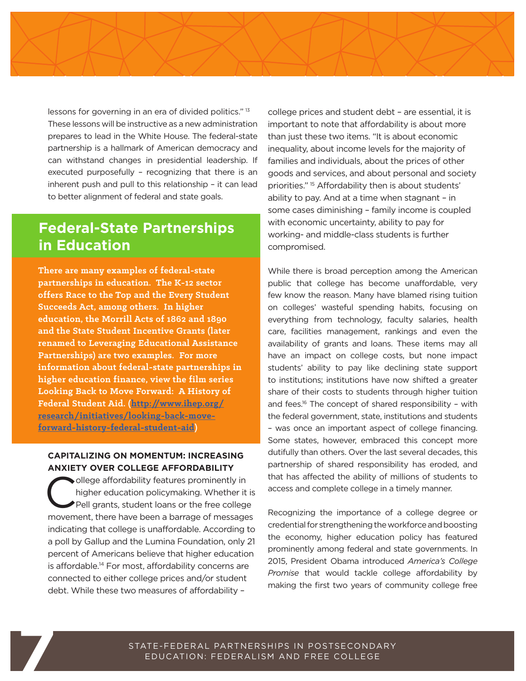

lessons for governing in an era of divided politics." <sup>13</sup> These lessons will be instructive as a new administration prepares to lead in the White House. The federal-state partnership is a hallmark of American democracy and can withstand changes in presidential leadership. If executed purposefully – recognizing that there is an inherent push and pull to this relationship – it can lead to better alignment of federal and state goals.

### **Federal-State Partnerships in Education**

**There are many examples of federal-state partnerships in education. The K-12 sector offers Race to the Top and the Every Student Succeeds Act, among others. In higher education, the Morrill Acts of 1862 and 1890 and the State Student Incentive Grants (later renamed to Leveraging Educational Assistance Partnerships) are two examples. For more information about federal-state partnerships in higher education finance, view the film series Looking Back to Move Forward: A History of Federal Student Aid. ([http://www.ihep.org/](http://www.ihep.org/research/initiatives/looking-back-move-forward-history-federal-student-aid) [research/initiatives/looking-back-move](http://www.ihep.org/research/initiatives/looking-back-move-forward-history-federal-student-aid)[forward-history-federal-student-aid\)](http://www.ihep.org/research/initiatives/looking-back-move-forward-history-federal-student-aid)**

#### **CAPITALIZING ON MOMENTUM: INCREASING ANXIETY OVER COLLEGE AFFORDABILITY**

College affordability features prominently in<br>higher education policymaking. Whether it<br>Pell grants, student loans or the free college higher education policymaking. Whether it is Pell grants, student loans or the free college movement, there have been a barrage of messages indicating that college is unaffordable. According to a poll by Gallup and the Lumina Foundation, only 21 percent of Americans believe that higher education is affordable.<sup>14</sup> For most, affordability concerns are connected to either college prices and/or student debt. While these two measures of affordability –

college prices and student debt – are essential, it is important to note that affordability is about more than just these two items. "It is about economic inequality, about income levels for the majority of families and individuals, about the prices of other goods and services, and about personal and society priorities." 15 Affordability then is about students' ability to pay. And at a time when stagnant – in some cases diminishing – family income is coupled with economic uncertainty, ability to pay for working- and middle-class students is further compromised.

While there is broad perception among the American public that college has become unaffordable, very few know the reason. Many have blamed rising tuition on colleges' wasteful spending habits, focusing on everything from technology, faculty salaries, health care, facilities management, rankings and even the availability of grants and loans. These items may all have an impact on college costs, but none impact students' ability to pay like declining state support to institutions; institutions have now shifted a greater share of their costs to students through higher tuition and fees.<sup>16</sup> The concept of shared responsibility - with the federal government, state, institutions and students – was once an important aspect of college financing. Some states, however, embraced this concept more dutifully than others. Over the last several decades, this partnership of shared responsibility has eroded, and that has affected the ability of millions of students to access and complete college in a timely manner.

credential for strengthening the workforce and boosting<br>the economy, higher education policy has featured<br>prominently among federal and state governments. In<br>2015, President Obama introduced *America's College* Recognizing the importance of a college degree or the economy, higher education policy has featured prominently among federal and state governments. In 2015, President Obama introduced *America's College Promise* that would tackle college affordability by making the first two years of community college free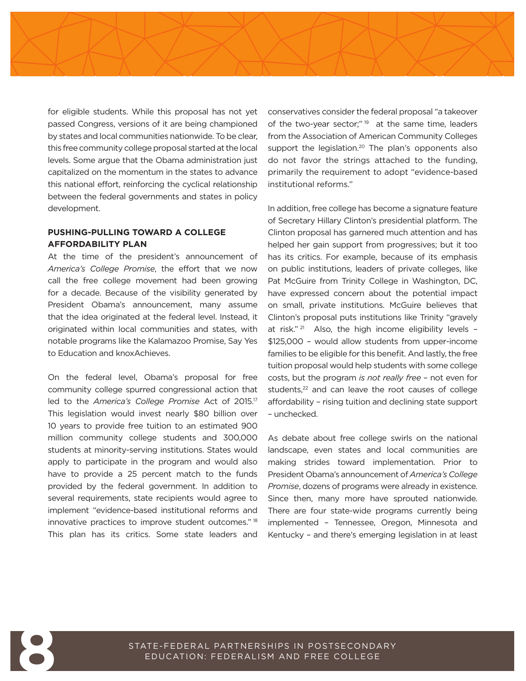

for eligible students. While this proposal has not yet passed Congress, versions of it are being championed by states and local communities nationwide. To be clear, this free community college proposal started at the local levels. Some argue that the Obama administration just capitalized on the momentum in the states to advance this national effort, reinforcing the cyclical relationship between the federal governments and states in policy development.

#### **PUSHING-PULLING TOWARD A COLLEGE AFFORDABILITY PLAN**

At the time of the president's announcement of *America's College Promise*, the effort that we now call the free college movement had been growing for a decade. Because of the visibility generated by President Obama's announcement, many assume that the idea originated at the federal level. Instead, it originated within local communities and states, with notable programs like the Kalamazoo Promise, Say Yes to Education and knoxAchieves.

On the federal level, Obama's proposal for free community college spurred congressional action that led to the *America's College Promise* Act of 2015.17 This legislation would invest nearly \$80 billion over 10 years to provide free tuition to an estimated 900 million community college students and 300,000 students at minority-serving institutions. States would apply to participate in the program and would also have to provide a 25 percent match to the funds provided by the federal government. In addition to several requirements, state recipients would agree to implement "evidence-based institutional reforms and innovative practices to improve student outcomes." <sup>18</sup> This plan has its critics. Some state leaders and

conservatives consider the federal proposal "a takeover of the two-year sector;" $19$  at the same time, leaders from the Association of American Community Colleges support the legislation.<sup>20</sup> The plan's opponents also do not favor the strings attached to the funding, primarily the requirement to adopt "evidence-based institutional reforms."

In addition, free college has become a signature feature of Secretary Hillary Clinton's presidential platform. The Clinton proposal has garnered much attention and has helped her gain support from progressives; but it too has its critics. For example, because of its emphasis on public institutions, leaders of private colleges, like Pat McGuire from Trinity College in Washington, DC, have expressed concern about the potential impact on small, private institutions. McGuire believes that Clinton's proposal puts institutions like Trinity "gravely at risk."<sup>21</sup> Also, the high income eligibility levels -\$125,000 – would allow students from upper-income families to be eligible for this benefit. And lastly, the free tuition proposal would help students with some college costs, but the program *is not really free* – not even for students, $22$  and can leave the root causes of college affordability – rising tuition and declining state support – unchecked.

implemented – Tennessee, Oregon, Minnesota and<br>Kentucky – and there's emerging legislation in at least<br>Tentucky – and there's emerging legislation in at least As debate about free college swirls on the national landscape, even states and local communities are making strides toward implementation. Prior to President Obama's announcement of *America's College Promise*, dozens of programs were already in existence. Since then, many more have sprouted nationwide. There are four state-wide programs currently being Kentucky – and there's emerging legislation in at least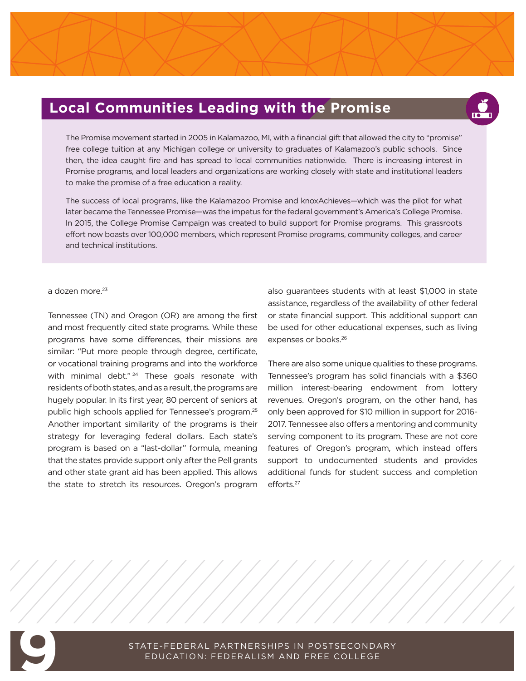### **Local Communities Leading with the Promise**



The Promise movement started in 2005 in Kalamazoo, MI, with a financial gift that allowed the city to "promise" free college tuition at any Michigan college or university to graduates of Kalamazoo's public schools. Since then, the idea caught fire and has spread to local communities nationwide. There is increasing interest in Promise programs, and local leaders and organizations are working closely with state and institutional leaders to make the promise of a free education a reality.

The success of local programs, like the Kalamazoo Promise and knoxAchieves—which was the pilot for what later became the Tennessee Promise—was the impetus for the federal government's America's College Promise. In 2015, the College Promise Campaign was created to build support for Promise programs. This grassroots effort now boasts over 100,000 members, which represent Promise programs, community colleges, and career and technical institutions.

#### a dozen more.23

Tennessee (TN) and Oregon (OR) are among the first and most frequently cited state programs. While these programs have some differences, their missions are similar: "Put more people through degree, certificate, or vocational training programs and into the workforce with minimal debt."<sup>24</sup> These goals resonate with residents of both states, and as a result, the programs are hugely popular. In its first year, 80 percent of seniors at public high schools applied for Tennessee's program.25 Another important similarity of the programs is their strategy for leveraging federal dollars. Each state's program is based on a "last-dollar" formula, meaning that the states provide support only after the Pell grants and other state grant aid has been applied. This allows the state to stretch its resources. Oregon's program

also guarantees students with at least \$1,000 in state assistance, regardless of the availability of other federal or state financial support. This additional support can be used for other educational expenses, such as living expenses or books.26

There are also some unique qualities to these programs. Tennessee's program has solid financials with a \$360 million interest-bearing endowment from lottery revenues. Oregon's program, on the other hand, has only been approved for \$10 million in support for 2016- 2017. Tennessee also offers a mentoring and community serving component to its program. These are not core features of Oregon's program, which instead offers support to undocumented students and provides additional funds for student success and completion efforts.<sup>27</sup>

**2**

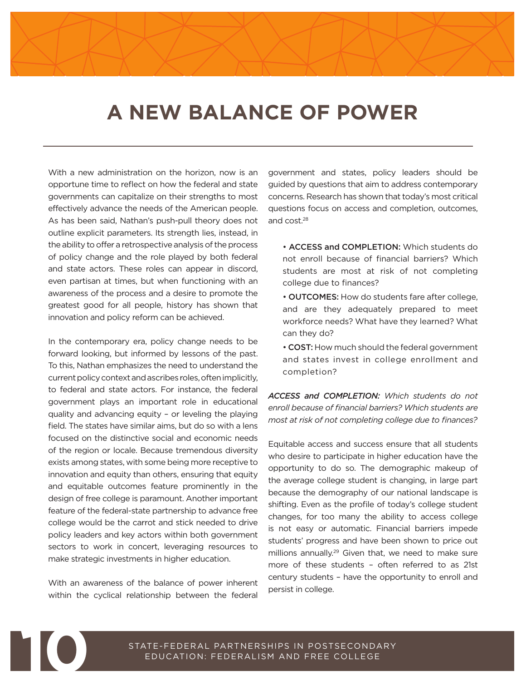## **A NEW BALANCE OF POWER**

With a new administration on the horizon, now is an opportune time to reflect on how the federal and state governments can capitalize on their strengths to most effectively advance the needs of the American people. As has been said, Nathan's push-pull theory does not outline explicit parameters. Its strength lies, instead, in the ability to offer a retrospective analysis of the process of policy change and the role played by both federal and state actors. These roles can appear in discord, even partisan at times, but when functioning with an awareness of the process and a desire to promote the greatest good for all people, history has shown that innovation and policy reform can be achieved.

In the contemporary era, policy change needs to be forward looking, but informed by lessons of the past. To this, Nathan emphasizes the need to understand the current policy context and ascribes roles, often implicitly, to federal and state actors. For instance, the federal government plays an important role in educational quality and advancing equity – or leveling the playing field. The states have similar aims, but do so with a lens focused on the distinctive social and economic needs of the region or locale. Because tremendous diversity exists among states, with some being more receptive to innovation and equity than others, ensuring that equity and equitable outcomes feature prominently in the design of free college is paramount. Another important feature of the federal-state partnership to advance free college would be the carrot and stick needed to drive policy leaders and key actors within both government sectors to work in concert, leveraging resources to make strategic investments in higher education.

With an awareness of the balance of power inherent within the cyclical relationship between the federal

government and states, policy leaders should be guided by questions that aim to address contemporary concerns. Research has shown that today's most critical questions focus on access and completion, outcomes, and cost.28

- ACCESS and COMPLETION: Which students do not enroll because of financial barriers? Which students are most at risk of not completing college due to finances?
- OUTCOMES: How do students fare after college, and are they adequately prepared to meet workforce needs? What have they learned? What can they do?
- COST: How much should the federal government and states invest in college enrollment and completion?

*ACCESS and COMPLETION: Which students do not enroll because of financial barriers? Which students are most at risk of not completing college due to finances?*

Equitable access and success ensure that all students who desire to participate in higher education have the opportunity to do so. The demographic makeup of the average college student is changing, in large part because the demography of our national landscape is shifting. Even as the profile of today's college student changes, for too many the ability to access college is not easy or automatic. Financial barriers impede students' progress and have been shown to price out millions annually.<sup>29</sup> Given that, we need to make sure more of these students – often referred to as 21st century students – have the opportunity to enroll and persist in college.

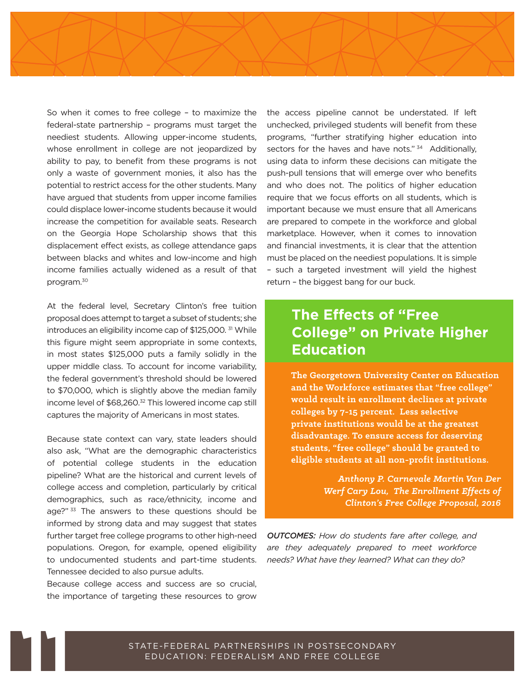So when it comes to free college – to maximize the federal-state partnership – programs must target the neediest students. Allowing upper-income students, whose enrollment in college are not jeopardized by ability to pay, to benefit from these programs is not only a waste of government monies, it also has the potential to restrict access for the other students. Many have argued that students from upper income families could displace lower-income students because it would increase the competition for available seats. Research on the Georgia Hope Scholarship shows that this displacement effect exists, as college attendance gaps between blacks and whites and low-income and high income families actually widened as a result of that program.30

At the federal level, Secretary Clinton's free tuition proposal does attempt to target a subset of students; she introduces an eligibility income cap of \$125,000.<sup>31</sup> While this figure might seem appropriate in some contexts, in most states \$125,000 puts a family solidly in the upper middle class. To account for income variability, the federal government's threshold should be lowered to \$70,000, which is slightly above the median family income level of \$68,260.<sup>32</sup> This lowered income cap still captures the majority of Americans in most states.

Because state context can vary, state leaders should also ask, "What are the demographic characteristics of potential college students in the education pipeline? What are the historical and current levels of college access and completion, particularly by critical demographics, such as race/ethnicity, income and age?"<sup>33</sup> The answers to these questions should be informed by strong data and may suggest that states further target free college programs to other high-need populations. Oregon, for example, opened eligibility to undocumented students and part-time students. Tennessee decided to also pursue adults.

Because college access and success are so crucial, the importance of targeting these resources to grow

the access pipeline cannot be understated. If left unchecked, privileged students will benefit from these programs, "further stratifying higher education into sectors for the haves and have nots." 34 Additionally, using data to inform these decisions can mitigate the push-pull tensions that will emerge over who benefits and who does not. The politics of higher education require that we focus efforts on all students, which is important because we must ensure that all Americans are prepared to compete in the workforce and global marketplace. However, when it comes to innovation and financial investments, it is clear that the attention must be placed on the neediest populations. It is simple – such a targeted investment will yield the highest return – the biggest bang for our buck.

### **The Effects of "Free College" on Private Higher Education**

**The Georgetown University Center on Education and the Workforce estimates that "free college" would result in enrollment declines at private colleges by 7-15 percent. Less selective private institutions would be at the greatest disadvantage. To ensure access for deserving students, "free college" should be granted to eligible students at all non-profit institutions.**

> *Anthony P. Carnevale Martin Van Der Werf Cary Lou, The Enrollment Effects of Clinton's Free College Proposal, 2016*

*OUTCOMES: How do students fare after college, and are they adequately prepared to meet workforce needs? What have they learned? What can they do?*

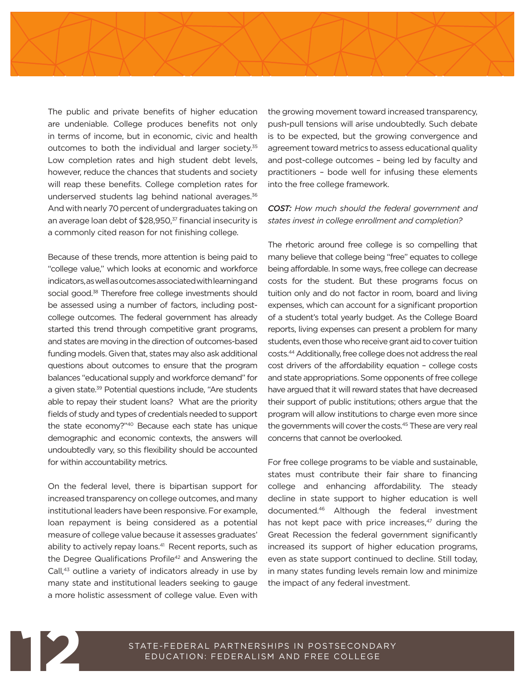

The public and private benefits of higher education are undeniable. College produces benefits not only in terms of income, but in economic, civic and health outcomes to both the individual and larger society.<sup>35</sup> Low completion rates and high student debt levels, however, reduce the chances that students and society will reap these benefits. College completion rates for underserved students lag behind national averages.36 And with nearly 70 percent of undergraduates taking on an average loan debt of \$28,950,<sup>37</sup> financial insecurity is a commonly cited reason for not finishing college.

Because of these trends, more attention is being paid to "college value," which looks at economic and workforce indicators, as well as outcomes associated with learning and social good.<sup>38</sup> Therefore free college investments should be assessed using a number of factors, including postcollege outcomes. The federal government has already started this trend through competitive grant programs, and states are moving in the direction of outcomes-based funding models. Given that, states may also ask additional questions about outcomes to ensure that the program balances "educational supply and workforce demand" for a given state.39 Potential questions include, "Are students able to repay their student loans? What are the priority fields of study and types of credentials needed to support the state economy?"40 Because each state has unique demographic and economic contexts, the answers will undoubtedly vary, so this flexibility should be accounted for within accountability metrics.

On the federal level, there is bipartisan support for increased transparency on college outcomes, and many institutional leaders have been responsive. For example, loan repayment is being considered as a potential measure of college value because it assesses graduates' ability to actively repay loans.<sup>41</sup> Recent reports, such as the Degree Qualifications Profile<sup>42</sup> and Answering the Call,<sup>43</sup> outline a variety of indicators already in use by many state and institutional leaders seeking to gauge a more holistic assessment of college value. Even with

the growing movement toward increased transparency, push-pull tensions will arise undoubtedly. Such debate is to be expected, but the growing convergence and agreement toward metrics to assess educational quality and post-college outcomes – being led by faculty and practitioners – bode well for infusing these elements into the free college framework.

#### *COST: How much should the federal government and states invest in college enrollment and completion?*

The rhetoric around free college is so compelling that many believe that college being "free" equates to college being affordable. In some ways, free college can decrease costs for the student. But these programs focus on tuition only and do not factor in room, board and living expenses, which can account for a significant proportion of a student's total yearly budget. As the College Board reports, living expenses can present a problem for many students, even those who receive grant aid to cover tuition costs.44 Additionally, free college does not address the real cost drivers of the affordability equation – college costs and state appropriations. Some opponents of free college have argued that it will reward states that have decreased their support of public institutions; others argue that the program will allow institutions to charge even more since the governments will cover the costs.45 These are very real concerns that cannot be overlooked.

For free college programs to be viable and sustainable, states must contribute their fair share to financing college and enhancing affordability. The steady decline in state support to higher education is well documented.46 Although the federal investment has not kept pace with price increases, $47$  during the Great Recession the federal government significantly increased its support of higher education programs, even as state support continued to decline. Still today, in many states funding levels remain low and minimize the impact of any federal investment.

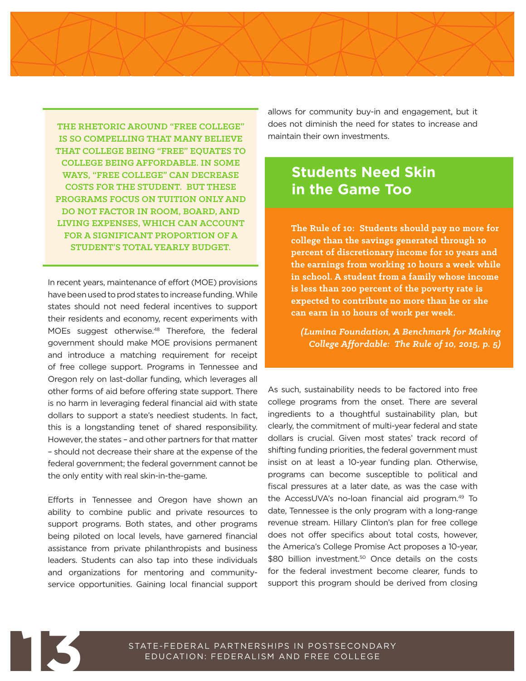**THE RHETORIC AROUND "FREE COLLEGE" IS SO COMPELLING THAT MANY BELIEVE THAT COLLEGE BEING "FREE" EQUATES TO COLLEGE BEING AFFORDABLE. IN SOME WAYS, "FREE COLLEGE" CAN DECREASE COSTS FOR THE STUDENT. BUT THESE PROGRAMS FOCUS ON TUITION ONLY AND DO NOT FACTOR IN ROOM, BOARD, AND LIVING EXPENSES, WHICH CAN ACCOUNT FOR A SIGNIFICANT PROPORTION OF A STUDENT'S TOTAL YEARLY BUDGET.**

In recent years, maintenance of effort (MOE) provisions have been used to prod states to increase funding. While states should not need federal incentives to support their residents and economy, recent experiments with MOEs suggest otherwise.<sup>48</sup> Therefore, the federal government should make MOE provisions permanent and introduce a matching requirement for receipt of free college support. Programs in Tennessee and Oregon rely on last-dollar funding, which leverages all other forms of aid before offering state support. There is no harm in leveraging federal financial aid with state dollars to support a state's neediest students. In fact, this is a longstanding tenet of shared responsibility. However, the states – and other partners for that matter – should not decrease their share at the expense of the federal government; the federal government cannot be the only entity with real skin-in-the-game.

Efforts in Tennessee and Oregon have shown an ability to combine public and private resources to support programs. Both states, and other programs being piloted on local levels, have garnered financial assistance from private philanthropists and business leaders. Students can also tap into these individuals and organizations for mentoring and communityservice opportunities. Gaining local financial support allows for community buy-in and engagement, but it does not diminish the need for states to increase and maintain their own investments.

### **Students Need Skin in the Game Too**

**The Rule of 10: Students should pay no more for college than the savings generated through 10 percent of discretionary income for 10 years and the earnings from working 10 hours a week while in school. A student from a family whose income is less than 200 percent of the poverty rate is expected to contribute no more than he or she can earn in 10 hours of work per week.**

*(Lumina Foundation, A Benchmark for Making College Affordable: The Rule of 10, 2015, p. 5)*

for free<br>
costs, P<br>
poposes a<br> **2**<br> **2**<br> **2** As such, sustainability needs to be factored into free college programs from the onset. There are several ingredients to a thoughtful sustainability plan, but clearly, the commitment of multi-year federal and state dollars is crucial. Given most states' track record of shifting funding priorities, the federal government must insist on at least a 10-year funding plan. Otherwise, programs can become susceptible to political and fiscal pressures at a later date, as was the case with the AccessUVA's no-loan financial aid program.49 To date, Tennessee is the only program with a long-range revenue stream. Hillary Clinton's plan for free college does not offer specifics about total costs, however, the America's College Promise Act proposes a 10-year, \$80 billion investment.<sup>50</sup> Once details on the costs for the federal investment become clearer, funds to support this program should be derived from closing

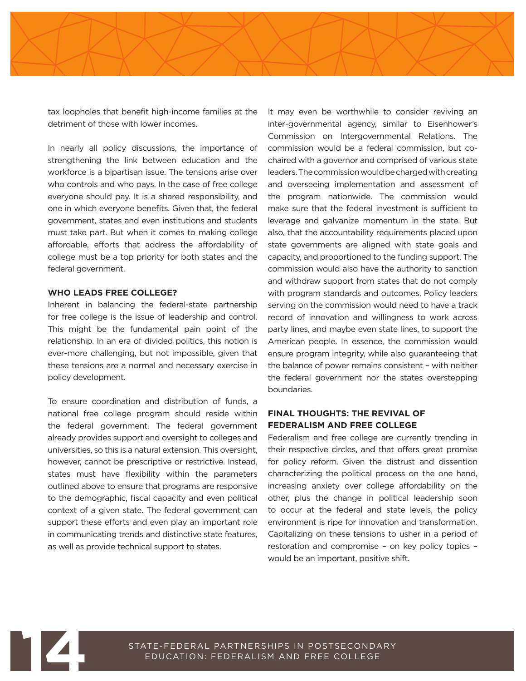

tax loopholes that benefit high-income families at the detriment of those with lower incomes.

In nearly all policy discussions, the importance of strengthening the link between education and the workforce is a bipartisan issue. The tensions arise over who controls and who pays. In the case of free college everyone should pay. It is a shared responsibility, and one in which everyone benefits. Given that, the federal government, states and even institutions and students must take part. But when it comes to making college affordable, efforts that address the affordability of college must be a top priority for both states and the federal government.

#### **WHO LEADS FREE COLLEGE?**

Inherent in balancing the federal-state partnership for free college is the issue of leadership and control. This might be the fundamental pain point of the relationship. In an era of divided politics, this notion is ever-more challenging, but not impossible, given that these tensions are a normal and necessary exercise in policy development.

To ensure coordination and distribution of funds, a national free college program should reside within the federal government. The federal government already provides support and oversight to colleges and universities, so this is a natural extension. This oversight, however, cannot be prescriptive or restrictive. Instead, states must have flexibility within the parameters outlined above to ensure that programs are responsive to the demographic, fiscal capacity and even political context of a given state. The federal government can support these efforts and even play an important role in communicating trends and distinctive state features, as well as provide technical support to states.

It may even be worthwhile to consider reviving an inter-governmental agency, similar to Eisenhower's Commission on Intergovernmental Relations. The commission would be a federal commission, but cochaired with a governor and comprised of various state leaders. The commission would be charged with creating and overseeing implementation and assessment of the program nationwide. The commission would make sure that the federal investment is sufficient to leverage and galvanize momentum in the state. But also, that the accountability requirements placed upon state governments are aligned with state goals and capacity, and proportioned to the funding support. The commission would also have the authority to sanction and withdraw support from states that do not comply with program standards and outcomes. Policy leaders serving on the commission would need to have a track record of innovation and willingness to work across party lines, and maybe even state lines, to support the American people. In essence, the commission would ensure program integrity, while also guaranteeing that the balance of power remains consistent – with neither the federal government nor the states overstepping boundaries.

#### **FINAL THOUGHTS: THE REVIVAL OF FEDERALISM AND FREE COLLEGE**

d transfo<br>er in a p<br>y policy<br><sup>p</sup> Federalism and free college are currently trending in their respective circles, and that offers great promise for policy reform. Given the distrust and dissention characterizing the political process on the one hand, increasing anxiety over college affordability on the other, plus the change in political leadership soon to occur at the federal and state levels, the policy environment is ripe for innovation and transformation. Capitalizing on these tensions to usher in a period of restoration and compromise – on key policy topics – would be an important, positive shift.

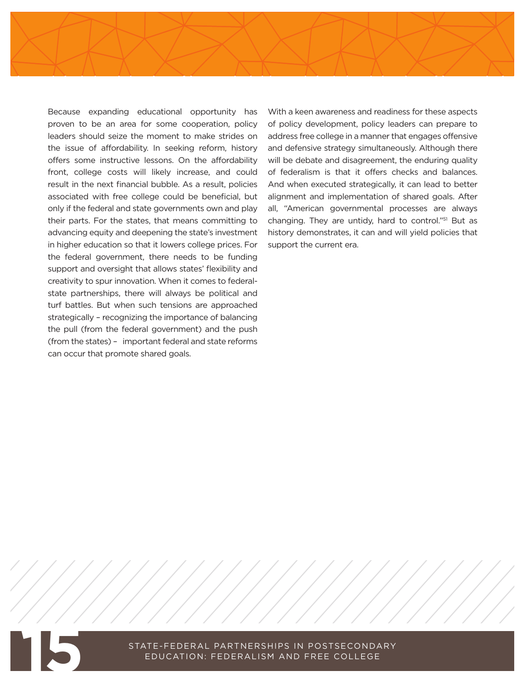Because expanding educational opportunity has proven to be an area for some cooperation, policy leaders should seize the moment to make strides on the issue of affordability. In seeking reform, history offers some instructive lessons. On the affordability front, college costs will likely increase, and could result in the next financial bubble. As a result, policies associated with free college could be beneficial, but only if the federal and state governments own and play their parts. For the states, that means committing to advancing equity and deepening the state's investment in higher education so that it lowers college prices. For the federal government, there needs to be funding support and oversight that allows states' flexibility and creativity to spur innovation. When it comes to federalstate partnerships, there will always be political and turf battles. But when such tensions are approached strategically – recognizing the importance of balancing the pull (from the federal government) and the push (from the states) – important federal and state reforms can occur that promote shared goals.

With a keen awareness and readiness for these aspects of policy development, policy leaders can prepare to address free college in a manner that engages offensive and defensive strategy simultaneously. Although there will be debate and disagreement, the enduring quality of federalism is that it offers checks and balances. And when executed strategically, it can lead to better alignment and implementation of shared goals. After all, "American governmental processes are always changing. They are untidy, hard to control."51 But as history demonstrates, it can and will yield policies that support the current era.

**2**

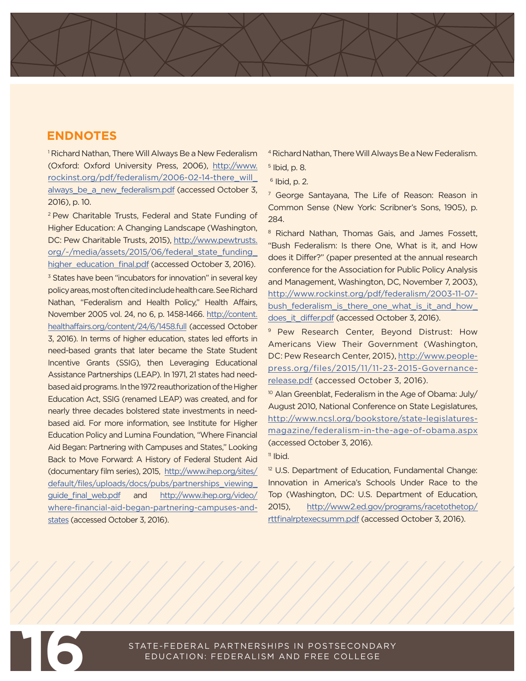#### **ENDNOTES**

1 Richard Nathan, There Will Always Be a New Federalism (Oxford: Oxford University Press, 2006), [http://www.](http://www.rockinst.org/pdf/federalism/2006-02-14-there_will_always_be_a_new_federalism.pdf) [rockinst.org/pdf/federalism/2006-02-14-there\\_will\\_](http://www.rockinst.org/pdf/federalism/2006-02-14-there_will_always_be_a_new_federalism.pdf) always be a new federalism.pdf (accessed October 3, 2016), p. 10.

2 Pew Charitable Trusts, Federal and State Funding of Higher Education: A Changing Landscape (Washington, DC: Pew Charitable Trusts, 2015), [http://www.pewtrusts.](http://www.pewtrusts.org/~/media/assets/2015/06/federal_state_funding_higher_education_final.pdf) [org/~/media/assets/2015/06/federal\\_state\\_funding\\_](http://www.pewtrusts.org/~/media/assets/2015/06/federal_state_funding_higher_education_final.pdf) [higher\\_education\\_final.pdf](http://www.pewtrusts.org/~/media/assets/2015/06/federal_state_funding_higher_education_final.pdf) (accessed October 3, 2016). <sup>3</sup> States have been "incubators for innovation" in several key policy areas, most often cited include health care. See Richard Nathan, "Federalism and Health Policy," Health Affairs, November 2005 vol. 24, no 6, p. 1458-1466. [http://content.](http://content.healthaffairs.org/content/24/6/1458.full) [healthaffairs.org/content/24/6/1458.full](http://content.healthaffairs.org/content/24/6/1458.full) (accessed October 3, 2016). In terms of higher education, states led efforts in need-based grants that later became the State Student Incentive Grants (SSIG), then Leveraging Educational Assistance Partnerships (LEAP). In 1971, 21 states had needbased aid programs. In the 1972 reauthorization of the Higher Education Act, SSIG (renamed LEAP) was created, and for nearly three decades bolstered state investments in needbased aid. For more information, see Institute for Higher Education Policy and Lumina Foundation, "Where Financial Aid Began: Partnering with Campuses and States," Looking Back to Move Forward: A History of Federal Student Aid (documentary film series), 2015, [http://www.ihep.org/sites/](http://www.ihep.org/sites/default/files/uploads/docs/pubs/partnerships_viewing_guide_final_web.pdf) [default/files/uploads/docs/pubs/partnerships\\_viewing\\_](http://www.ihep.org/sites/default/files/uploads/docs/pubs/partnerships_viewing_guide_final_web.pdf) guide final web.pdf and [http://www.ihep.org/video/](http://www.ihep.org/video/where-financial-aid-began-partnering-campuses-and-states) [where-financial-aid-began-partnering-campuses-and](http://www.ihep.org/video/where-financial-aid-began-partnering-campuses-and-states)[states](http://www.ihep.org/video/where-financial-aid-began-partnering-campuses-and-states) (accessed October 3, 2016).

4 Richard Nathan, There Will Always Be a New Federalism.

- 5 Ibid, p. 8.
- $6$  Ibid, p. 2.

<sup>7</sup> George Santayana, The Life of Reason: Reason in Common Sense (New York: Scribner's Sons, 1905), p. 284.

8 Richard Nathan, Thomas Gais, and James Fossett, "Bush Federalism: Is there One, What is it, and How does it Differ?" (paper presented at the annual research conference for the Association for Public Policy Analysis and Management, Washington, DC, November 7, 2003), [http://www.rockinst.org/pdf/federalism/2003-11-07](http://www.rockinst.org/pdf/federalism/2003-11-07-bush_federalism_is_there_one_what_is_it_and_how_does_it_differ.pdf) bush federalism is there one what is it and how [does\\_it\\_differ.pdf](http://www.rockinst.org/pdf/federalism/2003-11-07-bush_federalism_is_there_one_what_is_it_and_how_does_it_differ.pdf) (accessed October 3, 2016).

<sup>9</sup> Pew Research Center, Beyond Distrust: How Americans View Their Government (Washington, DC: Pew Research Center, 2015), [http://www.people](http://www.people-press.org/files/2015/11/11-23-2015-Governance-release.pdf)[press.org/files/2015/11/11-23-2015-Governance](http://www.people-press.org/files/2015/11/11-23-2015-Governance-release.pdf)[release.pdf](http://www.people-press.org/files/2015/11/11-23-2015-Governance-release.pdf) (accessed October 3, 2016).

<sup>10</sup> Alan Greenblat, Federalism in the Age of Obama: July/ August 2010, National Conference on State Legislatures, [http://www.ncsl.org/bookstore/state-legislatures](http://www.ncsl.org/bookstore/state-legislatures-magazine/federalism-in-the-age-of-obama.aspx )[magazine/federalism-in-the-age-of-obama.aspx](http://www.ncsl.org/bookstore/state-legislatures-magazine/federalism-in-the-age-of-obama.aspx ) (accessed October 3, 2016).

 $<sup>11</sup>$  Ibid.</sup>

<sup>12</sup> U.S. Department of Education, Fundamental Change: Innovation in America's Schools Under Race to the Top (Washington, DC: U.S. Department of Education, 2015), [http://www2.ed.gov/programs/racetothetop/](http://www2.ed.gov/programs/racetothetop/rttfinalrptexecsumm.pdf) [rttfinalrptexecsumm.pdf](http://www2.ed.gov/programs/racetothetop/rttfinalrptexecsumm.pdf) (accessed October 3, 2016).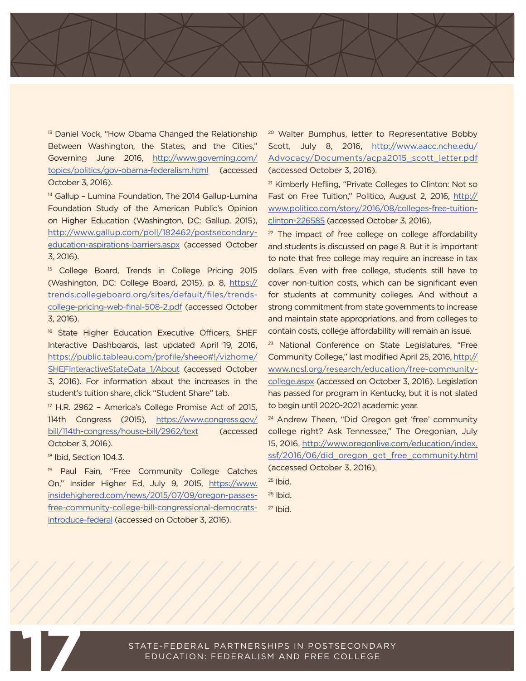<sup>13</sup> Daniel Vock, "How Obama Changed the Relationship Between Washington, the States, and the Cities," Governing June 2016, [http://www.governing.com/](http://www.governing.com/topics/politics/gov-obama-federalism.html) [topics/politics/gov-obama-federalism.html](http://www.governing.com/topics/politics/gov-obama-federalism.html) (accessed October 3, 2016).

<sup>14</sup> Gallup - Lumina Foundation, The 2014 Gallup-Lumina Foundation Study of the American Public's Opinion on Higher Education (Washington, DC: Gallup, 2015), [http://www.gallup.com/poll/182462/postsecondary](http://www.gallup.com/poll/182462/postsecondary-education-aspirations-barriers.aspx)[education-aspirations-barriers.aspx](http://www.gallup.com/poll/182462/postsecondary-education-aspirations-barriers.aspx) (accessed October 3, 2016).

<sup>15</sup> College Board, Trends in College Pricing 2015 (Washington, DC: College Board, 2015), p. 8, [https://](https://trends.collegeboard.org/sites/default/files/trends-college-pricing-web-final-508-2.pdf) [trends.collegeboard.org/sites/default/files/trends](https://trends.collegeboard.org/sites/default/files/trends-college-pricing-web-final-508-2.pdf)[college-pricing-web-final-508-2.pdf](https://trends.collegeboard.org/sites/default/files/trends-college-pricing-web-final-508-2.pdf) (accessed October 3, 2016).

<sup>16</sup> State Higher Education Executive Officers, SHEF Interactive Dashboards, last updated April 19, 2016, [https://public.tableau.com/profile/sheeo#!/vizhome/](https://public.tableau.com/profile/sheeo#!/vizhome/SHEFInteractiveStateData_1/About) [SHEFInteractiveStateData\\_1/About](https://public.tableau.com/profile/sheeo#!/vizhome/SHEFInteractiveStateData_1/About) (accessed October 3, 2016). For information about the increases in the student's tuition share, click "Student Share" tab.

17 H.R. 2962 – America's College Promise Act of 2015, 114th Congress (2015), [https://www.congress.gov/](https://www.congress.gov/bill/114th-congress/house-bill/2962/text) [bill/114th-congress/house-bill/2962/text](https://www.congress.gov/bill/114th-congress/house-bill/2962/text) (accessed October 3, 2016).

<sup>18</sup> Ibid, Section 104.3.

<sup>19</sup> Paul Fain, "Free Community College Catches On," Insider Higher Ed, July 9, 2015, [https://www.](https://www.insidehighered.com/news/2015/07/09/oregon-passes-free-community-college-bill-congressional-democrats-introduce-federal) [insidehighered.com/news/2015/07/09/oregon-passes](https://www.insidehighered.com/news/2015/07/09/oregon-passes-free-community-college-bill-congressional-democrats-introduce-federal)[free-community-college-bill-congressional-democrats](https://www.insidehighered.com/news/2015/07/09/oregon-passes-free-community-college-bill-congressional-democrats-introduce-federal)[introduce-federal](https://www.insidehighered.com/news/2015/07/09/oregon-passes-free-community-college-bill-congressional-democrats-introduce-federal) (accessed on October 3, 2016).

<sup>20</sup> Walter Bumphus, letter to Representative Bobby Scott, July 8, 2016, [http://www.aacc.nche.edu/](http://www.aacc.nche.edu/Advocacy/Documents/acpa2015_scott_letter.pdf) [Advocacy/Documents/acpa2015\\_scott\\_letter.pdf](http://www.aacc.nche.edu/Advocacy/Documents/acpa2015_scott_letter.pdf) (accessed October 3, 2016).

<sup>21</sup> Kimberly Hefling, "Private Colleges to Clinton: Not so Fast on Free Tuition," Politico, August 2, 2016, [http://](http://www.politico.com/story/2016/08/colleges-free-tuition-clinton-226585) [www.politico.com/story/2016/08/colleges-free-tuition](http://www.politico.com/story/2016/08/colleges-free-tuition-clinton-226585)[clinton-226585](http://www.politico.com/story/2016/08/colleges-free-tuition-clinton-226585) (accessed October 3, 2016).

 $22$  The impact of free college on college affordability and students is discussed on page 8. But it is important to note that free college may require an increase in tax dollars. Even with free college, students still have to cover non-tuition costs, which can be significant even for students at community colleges. And without a strong commitment from state governments to increase and maintain state appropriations, and from colleges to contain costs, college affordability will remain an issue.

<sup>23</sup> National Conference on State Legislatures, "Free Community College," last modified April 25, 2016, [http://](http://www.ncsl.org/research/education/free-community-college.aspx) [www.ncsl.org/research/education/free-community](http://www.ncsl.org/research/education/free-community-college.aspx)[college.aspx](http://www.ncsl.org/research/education/free-community-college.aspx) (accessed on October 3, 2016). Legislation has passed for program in Kentucky, but it is not slated to begin until 2020-2021 academic year.

<sup>24</sup> Andrew Theen, "Did Oregon get 'free' community college right? Ask Tennessee," The Oregonian, July 15, 2016, [http://www.oregonlive.com/education/index.](http://www.oregonlive.com/education/index.ssf/2016/06/did_oregon_get_free_community.html) [ssf/2016/06/did\\_oregon\\_get\\_free\\_community.html](http://www.oregonlive.com/education/index.ssf/2016/06/did_oregon_get_free_community.html) (accessed October 3, 2016).

 $25$  Ibid.

 $26$  Ibid.

 $27$  Ibid.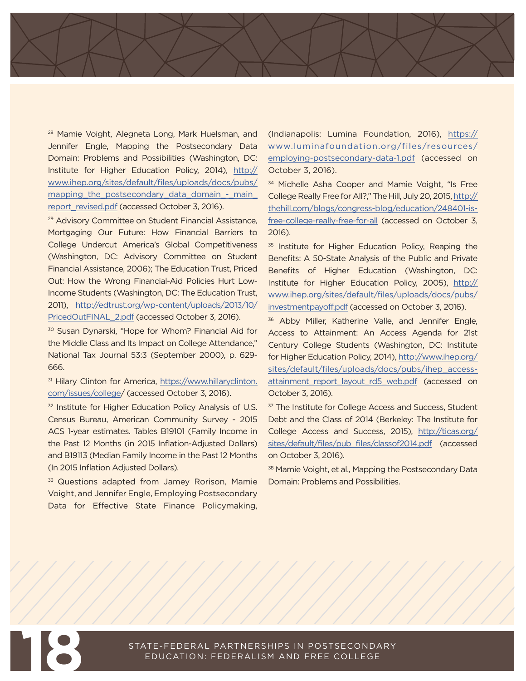28 Mamie Voight, Alegneta Long, Mark Huelsman, and Jennifer Engle, Mapping the Postsecondary Data Domain: Problems and Possibilities (Washington, DC: Institute for Higher Education Policy, 2014), [http://](http://www.ihep.org/sites/default/files/uploads/docs/pubs/mapping_the_postsecondary_data_domain_-_main_report_revised.pdf) [www.ihep.org/sites/default/files/uploads/docs/pubs/](http://www.ihep.org/sites/default/files/uploads/docs/pubs/mapping_the_postsecondary_data_domain_-_main_report_revised.pdf) [mapping\\_the\\_postsecondary\\_data\\_domain\\_-\\_main\\_](http://www.ihep.org/sites/default/files/uploads/docs/pubs/mapping_the_postsecondary_data_domain_-_main_report_revised.pdf) [report\\_revised.pdf](http://www.ihep.org/sites/default/files/uploads/docs/pubs/mapping_the_postsecondary_data_domain_-_main_report_revised.pdf) (accessed October 3, 2016).

29 Advisory Committee on Student Financial Assistance, Mortgaging Our Future: How Financial Barriers to College Undercut America's Global Competitiveness (Washington, DC: Advisory Committee on Student Financial Assistance, 2006); The Education Trust, Priced Out: How the Wrong Financial-Aid Policies Hurt Low-Income Students (Washington, DC: The Education Trust, 2011), [http://edtrust.org/wp-content/uploads/2013/10/](http://edtrust.org/wp-content/uploads/2013/10/PricedOutFINAL_2.pdf) [PricedOutFINAL\\_2.pdf](http://edtrust.org/wp-content/uploads/2013/10/PricedOutFINAL_2.pdf) (accessed October 3, 2016).

30 Susan Dynarski, "Hope for Whom? Financial Aid for the Middle Class and Its Impact on College Attendance," National Tax Journal 53:3 (September 2000), p. 629- 666.

31 Hilary Clinton for America, [https://www.hillaryclinton.](https://www.hillaryclinton.com/issues/college) [com/issues/college/](https://www.hillaryclinton.com/issues/college) (accessed October 3, 2016).

<sup>32</sup> Institute for Higher Education Policy Analysis of U.S. Census Bureau, American Community Survey - 2015 ACS 1-year estimates. Tables B19101 (Family Income in the Past 12 Months (in 2015 Inflation-Adjusted Dollars) and B19113 (Median Family Income in the Past 12 Months (In 2015 Inflation Adjusted Dollars).

<sup>33</sup> Questions adapted from Jamey Rorison, Mamie Voight, and Jennifer Engle, Employing Postsecondary Data for Effective State Finance Policymaking,

(Indianapolis: Lumina Foundation, 2016), [https://](https://www.luminafoundation.org/files/resources/employing-postsecondary-data-1.pdf) [www.luminafoundation.org/files/resources/](https://www.luminafoundation.org/files/resources/employing-postsecondary-data-1.pdf) [employing-postsecondary-data-1.pdf](https://www.luminafoundation.org/files/resources/employing-postsecondary-data-1.pdf) (accessed on October 3, 2016).

34 Michelle Asha Cooper and Mamie Voight, "Is Free College Really Free for All?," The Hill, July 20, 2015, [http://](http://thehill.com/blogs/congress-blog/education/248401-is-free-college-really-free-for-all) [thehill.com/blogs/congress-blog/education/248401-is](http://thehill.com/blogs/congress-blog/education/248401-is-free-college-really-free-for-all)[free-college-really-free-for-all](http://thehill.com/blogs/congress-blog/education/248401-is-free-college-really-free-for-all) (accessed on October 3, 2016).

<sup>35</sup> Institute for Higher Education Policy, Reaping the Benefits: A 50-State Analysis of the Public and Private Benefits of Higher Education (Washington, DC: Institute for Higher Education Policy, 2005), [http://](http://www.ihep.org/sites/default/files/uploads/docs/pubs/investmentpayoff.pdf) [www.ihep.org/sites/default/files/uploads/docs/pubs/](http://www.ihep.org/sites/default/files/uploads/docs/pubs/investmentpayoff.pdf) [investmentpayoff.pdf](http://www.ihep.org/sites/default/files/uploads/docs/pubs/investmentpayoff.pdf) (accessed on October 3, 2016).

<sup>36</sup> Abby Miller, Katherine Valle, and Jennifer Engle, Access to Attainment: An Access Agenda for 21st Century College Students (Washington, DC: Institute for Higher Education Policy, 2014), [http://www.ihep.org/](http://www.ihep.org/sites/default/files/uploads/docs/pubs/ihep_access-attainment_report_layout_rd5_web.pdf) [sites/default/files/uploads/docs/pubs/ihep\\_access](http://www.ihep.org/sites/default/files/uploads/docs/pubs/ihep_access-attainment_report_layout_rd5_web.pdf)[attainment\\_report\\_layout\\_rd5\\_web.pdf](http://www.ihep.org/sites/default/files/uploads/docs/pubs/ihep_access-attainment_report_layout_rd5_web.pdf) (accessed on October 3, 2016).

<sup>37</sup> The Institute for College Access and Success, Student Debt and the Class of 2014 (Berkeley: The Institute for College Access and Success, 2015), [http://ticas.org/](http://ticas.org/sites/default/files/pub_files/classof2014.pdf) [sites/default/files/pub\\_files/classof2014.pdf](http://ticas.org/sites/default/files/pub_files/classof2014.pdf) (accessed on October 3, 2016).

38 Mamie Voight, et al., Mapping the Postsecondary Data Domain: Problems and Possibilities.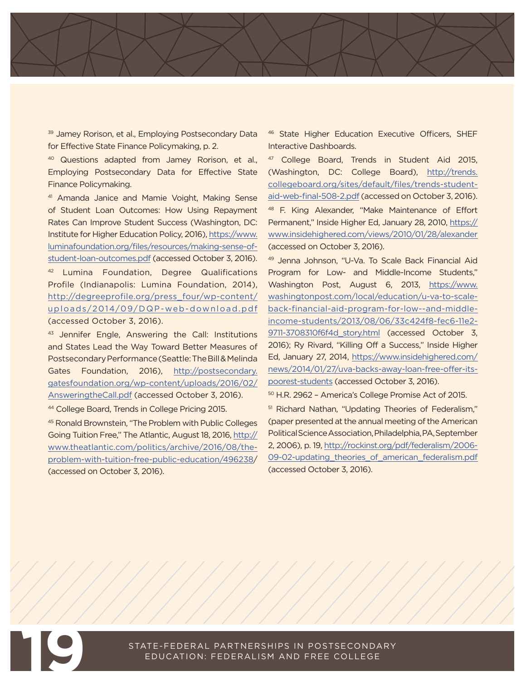<sup>39</sup> Jamey Rorison, et al., Employing Postsecondary Data for Effective State Finance Policymaking, p. 2.

<sup>40</sup> Questions adapted from Jamey Rorison, et al., Employing Postsecondary Data for Effective State Finance Policymaking.

41 Amanda Janice and Mamie Voight, Making Sense of Student Loan Outcomes: How Using Repayment Rates Can Improve Student Success (Washington, DC: Institute for Higher Education Policy, 2016), [https://www.](https://www.luminafoundation.org/files/resources/making-sense-of-student-loan-outcomes.pdf) [luminafoundation.org/files/resources/making-sense-of](https://www.luminafoundation.org/files/resources/making-sense-of-student-loan-outcomes.pdf)[student-loan-outcomes.pdf](https://www.luminafoundation.org/files/resources/making-sense-of-student-loan-outcomes.pdf) (accessed October 3, 2016). 42 Lumina Foundation, Degree Qualifications Profile (Indianapolis: Lumina Foundation, 2014),

[http://degreeprofile.org/press\\_four/wp-content/](http://degreeprofile.org/press_four/wp-content/uploads/2014/09/DQP-web-download.pdf) [uploads/2014/09/DQP-web-download.pdf](http://degreeprofile.org/press_four/wp-content/uploads/2014/09/DQP-web-download.pdf) (accessed October 3, 2016).

43 Jennifer Engle, Answering the Call: Institutions and States Lead the Way Toward Better Measures of Postsecondary Performance (Seattle: The Bill & Melinda Gates Foundation, 2016), [http://postsecondary.](http://postsecondary.gatesfoundation.org/wp-content/uploads/2016/02/AnsweringtheCall.pdf) [gatesfoundation.org/wp-content/uploads/2016/02/](http://postsecondary.gatesfoundation.org/wp-content/uploads/2016/02/AnsweringtheCall.pdf) [AnsweringtheCall.pdf](http://postsecondary.gatesfoundation.org/wp-content/uploads/2016/02/AnsweringtheCall.pdf) (accessed October 3, 2016).

44 College Board, Trends in College Pricing 2015.

45 Ronald Brownstein, "The Problem with Public Colleges Going Tuition Free," The Atlantic, August 18, 2016, [http://](http://www.theatlantic.com/politics/archive/2016/08/the-problem-with-tuition-free-public-education/496238) [www.theatlantic.com/politics/archive/2016/08/the](http://www.theatlantic.com/politics/archive/2016/08/the-problem-with-tuition-free-public-education/496238)[problem-with-tuition-free-public-education/496238](http://www.theatlantic.com/politics/archive/2016/08/the-problem-with-tuition-free-public-education/496238)/ (accessed on October 3, 2016).

46 State Higher Education Executive Officers, SHEF Interactive Dashboards.

47 College Board, Trends in Student Aid 2015, (Washington, DC: College Board), [http://trends.](http://trends.collegeboard.org/sites/default/files/trends-student-aid-web-final-508-2.pdf) [collegeboard.org/sites/default/files/trends-student](http://trends.collegeboard.org/sites/default/files/trends-student-aid-web-final-508-2.pdf)[aid-web-final-508-2.pdf](http://trends.collegeboard.org/sites/default/files/trends-student-aid-web-final-508-2.pdf) (accessed on October 3, 2016). 48 F. King Alexander, "Make Maintenance of Effort Permanent," Inside Higher Ed, January 28, 2010, [https://](https://www.insidehighered.com/views/2010/01/28/alexander) [www.insidehighered.com/views/2010/01/28/alexander](https://www.insidehighered.com/views/2010/01/28/alexander) (accessed on October 3, 2016).

49 Jenna Johnson, "U-Va. To Scale Back Financial Aid Program for Low- and Middle-Income Students," Washington Post, August 6, 2013, [https://www.](https://www.washingtonpost.com/local/education/u-va-to-scale-back-financial-aid-program-for-low--and-middle-income-students/2013/08/06/33c424f8-fec6-11e2-9711-3708310f6f4d_story.html) [washingtonpost.com/local/education/u-va-to-scale](https://www.washingtonpost.com/local/education/u-va-to-scale-back-financial-aid-program-for-low--and-middle-income-students/2013/08/06/33c424f8-fec6-11e2-9711-3708310f6f4d_story.html)[back-financial-aid-program-for-low--and-middle](https://www.washingtonpost.com/local/education/u-va-to-scale-back-financial-aid-program-for-low--and-middle-income-students/2013/08/06/33c424f8-fec6-11e2-9711-3708310f6f4d_story.html)[income-students/2013/08/06/33c424f8-fec6-11e2-](https://www.washingtonpost.com/local/education/u-va-to-scale-back-financial-aid-program-for-low--and-middle-income-students/2013/08/06/33c424f8-fec6-11e2-9711-3708310f6f4d_story.html) [9711-3708310f6f4d\\_story.html](https://www.washingtonpost.com/local/education/u-va-to-scale-back-financial-aid-program-for-low--and-middle-income-students/2013/08/06/33c424f8-fec6-11e2-9711-3708310f6f4d_story.html) (accessed October 3, 2016); Ry Rivard, "Killing Off a Success," Inside Higher Ed, January 27, 2014, [https://www.insidehighered.com/](https://www.insidehighered.com/news/2014/01/27/uva-backs-away-loan-free-offer-its-poorest-students) [news/2014/01/27/uva-backs-away-loan-free-offer-its](https://www.insidehighered.com/news/2014/01/27/uva-backs-away-loan-free-offer-its-poorest-students)[poorest-students](https://www.insidehighered.com/news/2014/01/27/uva-backs-away-loan-free-offer-its-poorest-students) (accessed October 3, 2016).

50 H.R. 2962 – America's College Promise Act of 2015.

<sup>51</sup> Richard Nathan, "Updating Theories of Federalism," (paper presented at the annual meeting of the American Political Science Association, Philadelphia, PA, September 2, 2006), p. 19, [http://rockinst.org/pdf/federalism/2006-](http://rockinst.org/pdf/federalism/2006-09-02-updating_theories_of_american_federalism.pdf) 09-02-updating theories of american federalism.pdf (accessed October 3, 2016).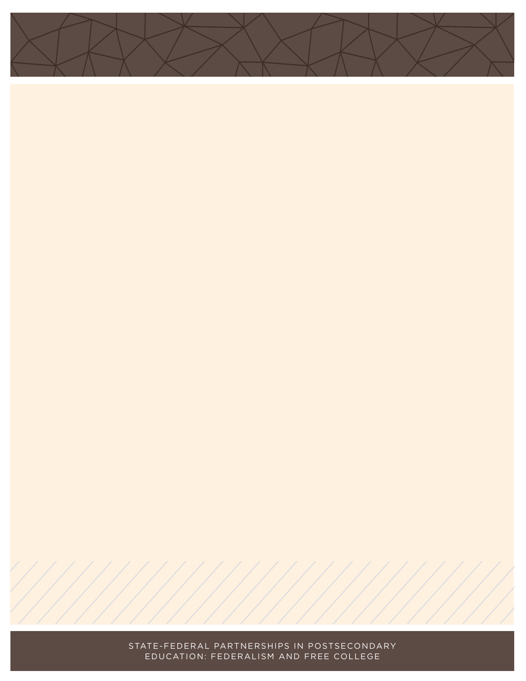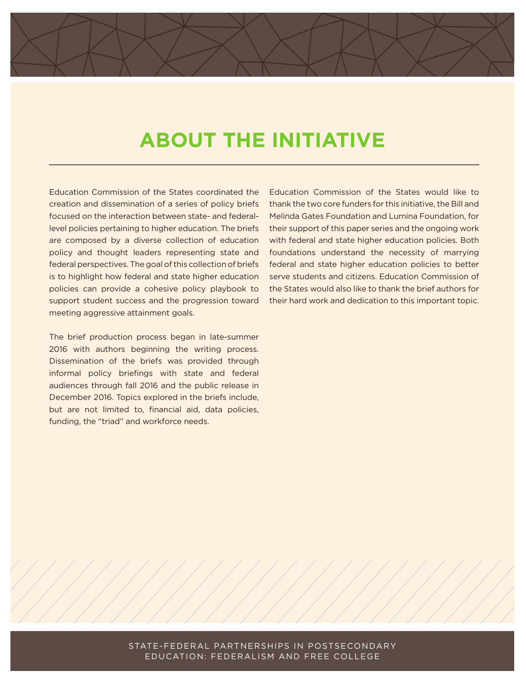## **ABOUT THE INITIATIVE**

Education Commission of the States coordinated the creation and dissemination of a series of policy briefs focused on the interaction between state- and federallevel policies pertaining to higher education. The briefs are composed by a diverse collection of education policy and thought leaders representing state and federal perspectives. The goal of this collection of briefs is to highlight how federal and state higher education policies can provide a cohesive policy playbook to support student success and the progression toward meeting aggressive attainment goals.

The brief production process began in late-summer 2016 with authors beginning the writing process. Dissemination of the briefs was provided through informal policy briefings with state and federal audiences through fall 2016 and the public release in December 2016. Topics explored in the briefs include, but are not limited to, financial aid, data policies, funding, the "triad" and workforce needs.

Education Commission of the States would like to thank the two core funders for this initiative, the Bill and Melinda Gates Foundation and Lumina Foundation, for their support of this paper series and the ongoing work with federal and state higher education policies. Both foundations understand the necessity of marrying federal and state higher education policies to better serve students and citizens. Education Commission of the States would also like to thank the brief authors for their hard work and dedication to this important topic.